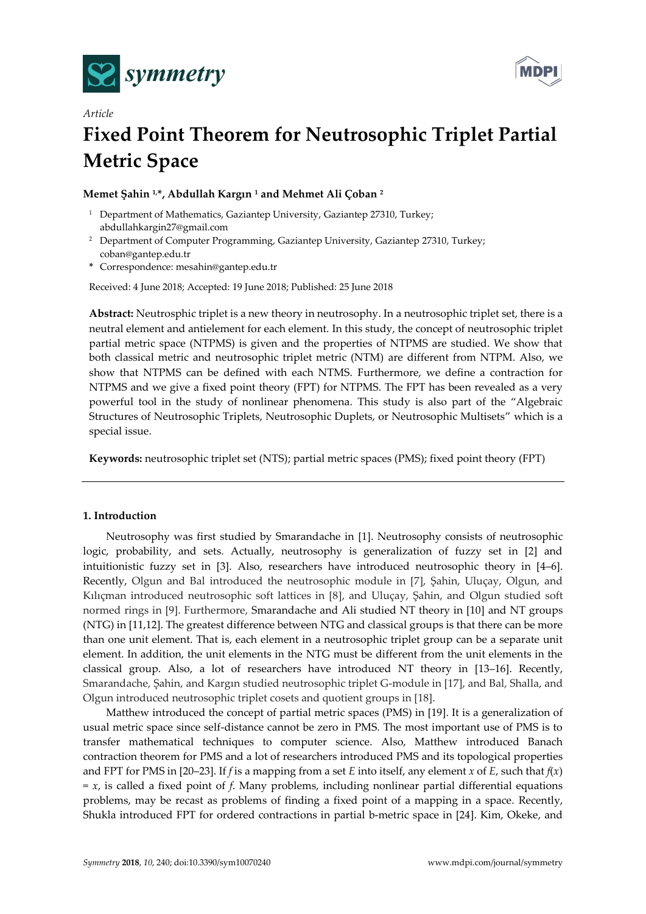



# *Article* **Fixed Point Theorem for Neutrosophic Triplet Partial Metric Space**

# **Memet Şahin 1,\*, Abdullah Kargın <sup>1</sup> and Mehmet Ali Çoban <sup>2</sup>**

- <sup>1</sup> Department of Mathematics, Gaziantep University, Gaziantep 27310, Turkey; abdullahkargin27@gmail.com
- <sup>2</sup> Department of Computer Programming, Gaziantep University, Gaziantep 27310, Turkey; coban@gantep.edu.tr
- **\*** Correspondence: mesahin@gantep.edu.tr

Received: 4 June 2018; Accepted: 19 June 2018; Published: 25 June 2018

**Abstract:** Neutrosphic triplet is a new theory in neutrosophy. In a neutrosophic triplet set, there is a neutral element and antielement for each element. In this study, the concept of neutrosophic triplet partial metric space (NTPMS) is given and the properties of NTPMS are studied. We show that both classical metric and neutrosophic triplet metric (NTM) are different from NTPM. Also, we show that NTPMS can be defined with each NTMS. Furthermore, we define a contraction for NTPMS and we give a fixed point theory (FPT) for NTPMS. The FPT has been revealed as a very powerful tool in the study of nonlinear phenomena. This study is also part of the "Algebraic Structures of Neutrosophic Triplets, Neutrosophic Duplets, or Neutrosophic Multisets" which is a special issue.

**Keywords:** neutrosophic triplet set (NTS); partial metric spaces (PMS); fixed point theory (FPT)

# **1. Introduction**

Neutrosophy was first studied by Smarandache in [1]. Neutrosophy consists of neutrosophic logic, probability, and sets. Actually, neutrosophy is generalization of fuzzy set in [2] and intuitionistic fuzzy set in [3]. Also, researchers have introduced neutrosophic theory in [4–6]. Recently, Olgun and Bal introduced the neutrosophic module in [7], Şahin, Uluçay, Olgun, and Kılıçman introduced neutrosophic soft lattices in [8], and Uluçay, Şahin, and Olgun studied soft normed rings in [9]. Furthermore, Smarandache and Ali studied NT theory in [10] and NT groups (NTG) in [11,12]. The greatest difference between NTG and classical groups is that there can be more than one unit element. That is, each element in a neutrosophic triplet group can be a separate unit element. In addition, the unit elements in the NTG must be different from the unit elements in the classical group. Also, a lot of researchers have introduced NT theory in [13–16]. Recently, Smarandache, Şahin, and Kargın studied neutrosophic triplet G-module in [17], and Bal, Shalla, and Olgun introduced neutrosophic triplet cosets and quotient groups in [18].

Matthew introduced the concept of partial metric spaces (PMS) in [19]. It is a generalization of usual metric space since self-distance cannot be zero in PMS. The most important use of PMS is to transfer mathematical techniques to computer science. Also, Matthew introduced Banach contraction theorem for PMS and a lot of researchers introduced PMS and its topological properties and FPT for PMS in [20–23]. If *f* is a mapping from a set *E* into itself, any element *x* of *E*, such that *f*(*x*) = *x*, is called a fixed point of *f*. Many problems, including nonlinear partial differential equations problems, may be recast as problems of finding a fixed point of a mapping in a space. Recently, Shukla introduced FPT for ordered contractions in partial b-metric space in [24]. Kim, Okeke, and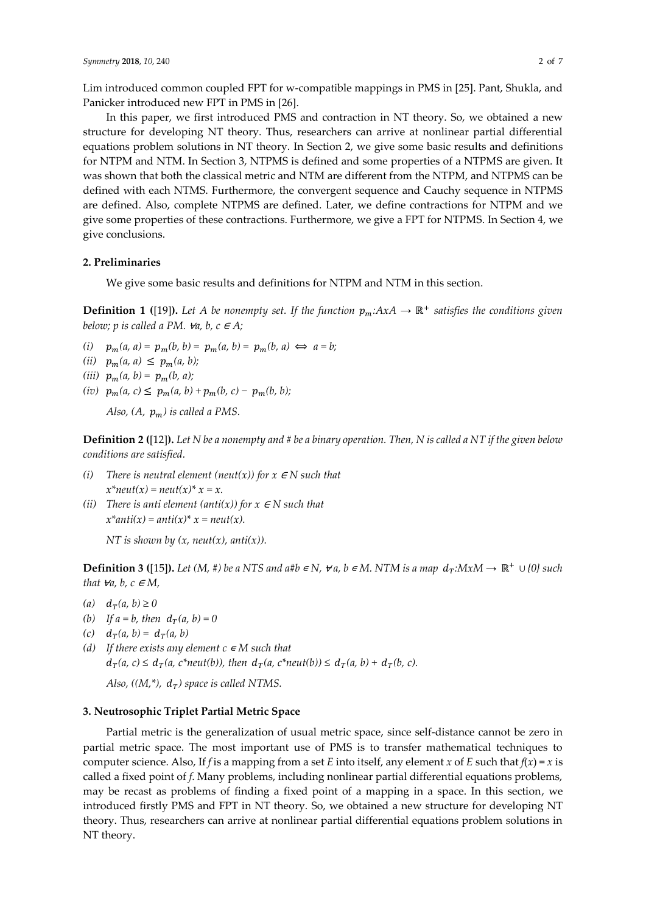Lim introduced common coupled FPT for w-compatible mappings in PMS in [25]. Pant, Shukla, and Panicker introduced new FPT in PMS in [26].

In this paper, we first introduced PMS and contraction in NT theory. So, we obtained a new structure for developing NT theory. Thus, researchers can arrive at nonlinear partial differential equations problem solutions in NT theory. In Section 2, we give some basic results and definitions for NTPM and NTM. In Section 3, NTPMS is defined and some properties of a NTPMS are given. It was shown that both the classical metric and NTM are different from the NTPM, and NTPMS can be defined with each NTMS. Furthermore, the convergent sequence and Cauchy sequence in NTPMS are defined. Also, complete NTPMS are defined. Later, we define contractions for NTPM and we give some properties of these contractions. Furthermore, we give a FPT for NTPMS. In Section 4, we give conclusions.

#### **2. Preliminaries**

We give some basic results and definitions for NTPM and NTM in this section.

**Definition 1 ([19]).** Let *A* be nonempty set. If the function  $p_m:AxA \to \mathbb{R}^+$  satisfies the conditions given *below; p is called a PM.*  $\forall a, b, c \in A;$ 

- *(i)*  $p_m(a, a) = p_m(b, b) = p_m(a, b) = p_m(b, a) \iff a = b;$
- *(ii)*  $p_m(a, a) \leq p_m(a, b);$
- *(iii)*  $p_m(a, b) = p_m(b, a);$
- $(iv)$   $p_m(a, c) \leq p_m(a, b) + p_m(b, c) p_m(b, b);$

*Also, (A,*  $p_m$ *) is called a PMS.* 

**Definition 2 (**[12]**).** *Let N be a nonempty and # be a binary operation. Then, N is called a NT if the given below conditions are satisfied.*

- *(i) There is neutral element*  $(new(x))$  *for*  $x \in N$  *such that*  $x^*$ *neut*(*x*) = *neut*(*x*)<sup>\*</sup> *x* = *x*.
- *(ii) There is anti element (anti(x)) for*  $x \in N$  *such that*  $x^*$ *anti*(*x*) = *anti*(*x*)<sup>\*</sup> *x* = *neut*(*x*).

*NT is shown by*  $(x, \text{neut}(x), \text{anti}(x))$ .

**Definition 3 ([15]).** Let (M, #) be a NTS and a#b  $\in$  *N,*  $\forall$  *a, b*  $\in$  *M*. NTM is a map  $d_T: MxM \to \mathbb{R}^+ \cup \{0\}$  such *that*  $\forall a, b, c \in M$ ,

- *(a)*  $d_T(a, b) ≥ 0$
- *(b) If a* = *b, then*  $d_T(a, b) = 0$
- (*c*)  $d_T(a, b) = d_T(a, b)$
- *(d)* If there exists any element  $c \in M$  such that  $d_T(a, c) \leq d_T(a, c^*neut(b)),$  *then*  $d_T(a, c^*neut(b)) \leq d_T(a, b) + d_T(b, c).$

*Also, ((M,\*),*  $d<sub>T</sub>$ *) space is called NTMS.* 

## **3. Neutrosophic Triplet Partial Metric Space**

Partial metric is the generalization of usual metric space, since self-distance cannot be zero in partial metric space. The most important use of PMS is to transfer mathematical techniques to computer science. Also, If *f* is a mapping from a set *E* into itself, any element *x* of *E* such that  $f(x) = x$  is called a fixed point of *f*. Many problems, including nonlinear partial differential equations problems, may be recast as problems of finding a fixed point of a mapping in a space. In this section, we introduced firstly PMS and FPT in NT theory. So, we obtained a new structure for developing NT theory. Thus, researchers can arrive at nonlinear partial differential equations problem solutions in NT theory.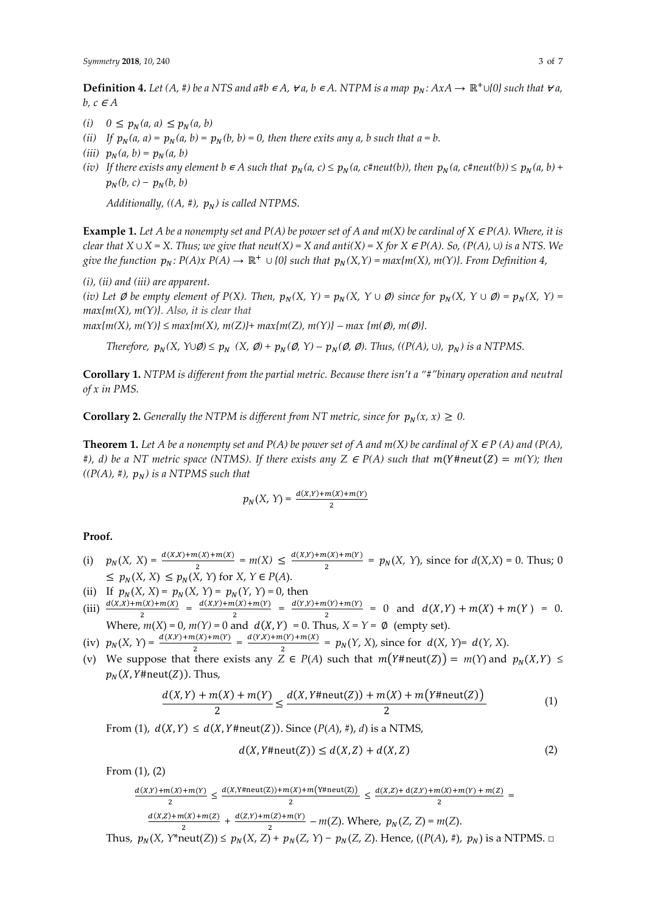**Definition 4.** Let  $(A, \#)$  be a NTS and a#b  $\in A$ ,  $\forall a, b \in A$ . NTPM is a map  $p_N: A x A \to \mathbb{R}^+ \cup \{0\}$  such that  $\forall a$ ,  $b, c \in A$ 

- $(i)$   $0 \leq p_N(a, a) \leq p_N(a, b)$
- *(ii)* If  $p_N(a, a) = p_N(a, b) = p_N(b, b) = 0$ , then there exits any a, b such that  $a = b$ .
- *(iii)*  $p_N(a, b) = p_N(a, b)$
- *(iv) If there exists any element b*  $\in$  *A such that*  $p_N(a, c) \leq p_N(a, c \# \textit{neut}(b))$ , then  $p_N(a, c \# \textit{neut}(b)) \leq p_N(a, b) +$  $p_N(b, c) - p_N(b, b)$

*Additionally,*  $((A, \#), p_N)$  *is called NTPMS.* 

**Example 1.** Let A be a nonempty set and  $P(A)$  be power set of A and  $m(X)$  be cardinal of  $X \in P(A)$ . Where, it is *clear that*  $X \cup X = X$ . Thus; we give that neut $(X) = X$  and anti $(X) = X$  for  $X \in P(A)$ . So,  $(P(A), ∪)$  is a NTS. We *give the function*  $p_N$ :  $P(A)x P(A) \to \mathbb{R}^+ \cup \{0\}$  such that  $p_N(X,Y) = max\{m(X), m(Y)\}$ . From Definition 4,

*(i), (ii) and (iii) are apparent.*

*(iv)* Let  $\emptyset$  *be empty element of P(X). Then,*  $p_N(X, Y) = p_N(X, Y \cup \emptyset)$  since for  $p_N(X, Y \cup \emptyset) = p_N(X, Y) =$ *max{m(X), m(Y)}. Also, it is clear that*

 $max{m(X), m(Y)}$   $\leq max{m(X), m(Z)}$  +  $max{m(Z), m(Y)}$  –  $max{m(\emptyset), m(\emptyset)}$ .

*Therefore,*  $p_N(X, Y \cup \emptyset) \leq p_N(X, \emptyset) + p_N(\emptyset, Y) - p_N(\emptyset, \emptyset)$ . *Thus,* ((P(A), ∪),  $p_N$ ) is a NTPMS.

**Corollary 1.** *NTPM is different from the partial metric. Because there isn't a "#"binary operation and neutral of x in PMS.*

**Corollary 2.** *Generally the NTPM is different from NT metric, since for*  $p_N(x, x) \geq 0$ .

**Theorem 1.** *Let A be a nonempty set and P(A) be power set of A and m(X) be cardinal of X*  $\in$  *P(A) and (P(A),*  $\#$ ), d) be a NT metric space (NTMS). If there exists any Z  $\in$  P(A) such that  $m(Y\#neut(Z) = m(Y);$  then  $((P(A), \#), p_N)$  *is a* NTPMS such that

$$
p_N(X, Y) = \frac{d(X, Y) + m(X) + m(Y)}{2}
$$

# **Proof.**

- (i)  $p_N(X, X) = \frac{d(X,X) + m(X) + m(X)}{2} = m(X) \le \frac{d(X,Y) + m(X) + m(Y)}{2}$  $\frac{d(x,y+m(Y))}{2} = p_N(X, Y)$ , since for  $d(X,X) = 0$ . Thus; 0  $\leq p_N(X, X) \leq p_N(X, Y)$  for  $X, Y \in P(A)$ .
- (ii) If  $p_N(X, X) = p_N(X, Y) = p_N(Y, Y) = 0$ , then
- (iii)  $\frac{d(x,x)+m(x)+m(x)}{2} = \frac{d(x,y)+m(x)+m(y)}{2}$  $\frac{a(x)+m(Y)}{2} = \frac{d(Y,Y)+m(Y)+m(Y)}{2} = 0$  and  $d(X,Y) + m(X) + m(Y) = 0$ . 2 Where,  $m(X) = 0$ ,  $m(Y) = 0$  and  $d(X, Y) = 0$ . Thus,  $X = Y = \emptyset$  (empty set).
- (iv)  $p_N(X, Y) = \frac{d(X,Y) + m(X) + m(Y)}{2} = \frac{d(Y,X) + m(Y) + m(X)}{2}$  $\frac{d(Y,Y+h(X))}{2} = p_N(Y,X)$ , since for  $d(X, Y)=d(Y,X)$ .
- (v) We suppose that there exists any  $Z \in P(A)$  such that  $m(Y \# \text{neut}(Z)) = m(Y)$  and  $p_N(X, Y) \le$  $p_N(X, Y \# \text{neut}(Z))$ . Thus,

$$
\frac{d(X,Y) + m(X) + m(Y)}{2} \le \frac{d(X,Y + \text{neut}(Z)) + m(X) + m(Y + \text{neut}(Z))}{2}
$$
(1)

From (1),  $d(X, Y) \le d(X, Y \# \text{neut}(Z))$ . Since  $(P(A), \#)$ , *d*) is a NTMS,

$$
d(X, Y \# \text{neut}(Z)) \le d(X, Z) + d(X, Z) \tag{2}
$$

From (1), (2)

$$
\frac{d(X,Y) + m(X) + m(Y)}{2} \le \frac{d(X,Y + \text{neut}(Z)) + m(X) + m(Y + \text{neut}(Z))}{2} \le \frac{d(X,Z) + d(Z,Y) + m(X) + m(Y) + m(Z)}{2} = \frac{d(X,Z) + m(X) + m(Z)}{2} + \frac{d(Z,Y) + m(Z) + m(Y)}{2} - m(Z). \text{ Where, } p_N(Z,Z) = m(Z).
$$

Thus,  $p_N(X, Y^* \text{neut}(Z)) \leq p_N(X, Z) + p_N(Z, Y) - p_N(Z, Z)$ . Hence,  $((P(A), \#), p_N)$  is a NTPMS. □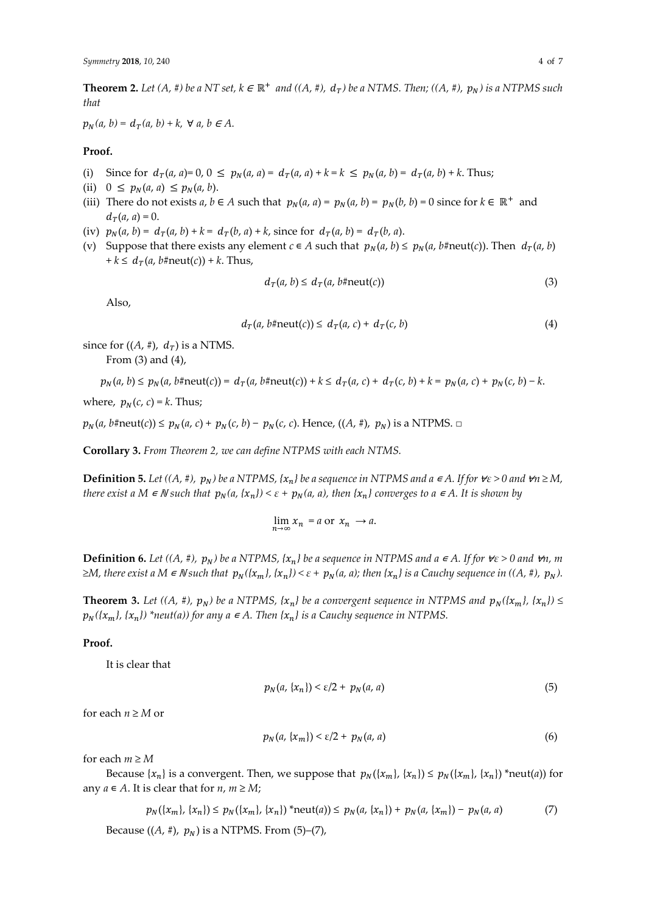**Theorem 2.** Let  $(A, \#)$  be a NT set,  $k \in \mathbb{R}^+$  and  $((A, \#), d_T)$  be a NTMS. Then;  $((A, \#), p_N)$  is a NTPMS such *that*

 $p_N(a, b) = d_T(a, b) + k$ ,  $\forall a, b \in A$ .

# **Proof.**

- (i) Since for  $d_T(a, a) = 0, 0 \leq p_N(a, a) = d_T(a, a) + k = k \leq p_N(a, b) = d_T(a, b) + k$ . Thus;
- (ii)  $0 \leq p_N(a, a) \leq p_N(a, b)$ .
- (iii) There do not exists *a*,  $b \in A$  such that  $p_N(a, a) = p_N(a, b) = p_N(b, b) = 0$  since for  $k \in \mathbb{R}^+$  and  $d_T(a, a) = 0.$
- (iv)  $p_N(a, b) = d_T(a, b) + k = d_T(b, a) + k$ , since for  $d_T(a, b) = d_T(b, a)$ .
- (v) Suppose that there exists any element  $c \in A$  such that  $p_N(a, b) \leq p_N(a, b) \neq \text{m}(a, b)$ . Then  $d_T(a, b)$  $+k \leq d_T(a, b\# \text{neut}(c)) + k$ . Thus,

$$
d_T(a, b) \le d_T(a, b \# \text{neut}(c))
$$
\n(3)

Also,

$$
d_T(a, b \# \text{neut}(c)) \leq d_T(a, c) + d_T(c, b)
$$
\n
$$
(4)
$$

since for  $((A, \#), d_T)$  is a NTMS.

From (3) and (4),

 $p_N(a, b) \leq p_N(a, b \# \text{neut}(c)) = d_T(a, b \# \text{neut}(c)) + k \leq d_T(a, c) + d_T(c, b) + k = p_N(a, c) + p_N(c, b) - k.$ 

where,  $p_N(c, c) = k$ . Thus;

 $p_N(a, b\# \text{neut}(c)) \leq p_N(a, c) + p_N(c, b) - p_N(c, c)$ . Hence,  $((A, \#), p_N)$  is a NTPMS.  $\Box$ 

**Corollary 3.** *From Theorem 2, we can define NTPMS with each NTMS.*

**Definition 5.** Let  $((A, \#), p_N)$  be a NTPMS,  $\{x_n\}$  be a sequence in NTPMS and a  $\in A$ . If for  $\forall \varepsilon > 0$  and  $\forall n \ge M$ , *there exist a*  $M \in \mathbb{N}$  *such that*  $p_N(a, \{x_n\}) < \varepsilon + p_N(a, a)$ , *then*  $\{x_n\}$  *converges to*  $a \in A$ . It is shown by

 $\lim_{n \to \infty} x_n = a$  or  $x_n \to a$ .

**Definition 6.** *Let*  $((A, \#), p_N)$  be a NTPMS,  $\{x_n\}$  be a sequence in NTPMS and a  $\in A$ . If for  $\forall \varepsilon > 0$  and  $\forall n$ , m  $\geq M$ , there exist a M  $\in$  N such that  $p_N(\{x_m\}, \{x_n\}) < \varepsilon + p_N(a, a)$ ; then  $\{x_n\}$  is a Cauchy sequence in  $((A, \#), p_N)$ .

**Theorem 3.** Let  $((A, \#), p_N)$  be a NTPMS,  $\{x_n\}$  be a convergent sequence in NTPMS and  $p_N(\{x_m\}, \{x_n\}) \leq$  $p_N({x_m}, {x_n})$  \*neut(a)) for any  $a \in A$ . Then  ${x_n}$  is a Cauchy sequence in NTPMS.

#### **Proof.**

It is clear that

$$
p_N(a, \{x_n\}) < \varepsilon/2 + p_N(a, a) \tag{5}
$$

for each  $n \geq M$  or

$$
p_N(a, \{x_m\}) < \varepsilon/2 + p_N(a, a) \tag{6}
$$

for each  $m \geq M$ 

Because  $\{x_n\}$  is a convergent. Then, we suppose that  $p_N(\{x_m\}, \{x_n\}) \leq p_N(\{x_m\}, \{x_n\})$  \*neut(*a*)) for any  $a \in A$ . It is clear that for  $n, m \ge M$ ;

$$
p_N(\{x_m\}, \{x_n\}) \le p_N(\{x_m\}, \{x_n\}) \text{ 'neut}(a)) \le p_N(a, \{x_n\}) + p_N(a, \{x_m\}) - p_N(a, a) \tag{7}
$$

Because ((*A*, #),  $p_N$ ) is a NTPMS. From (5)–(7),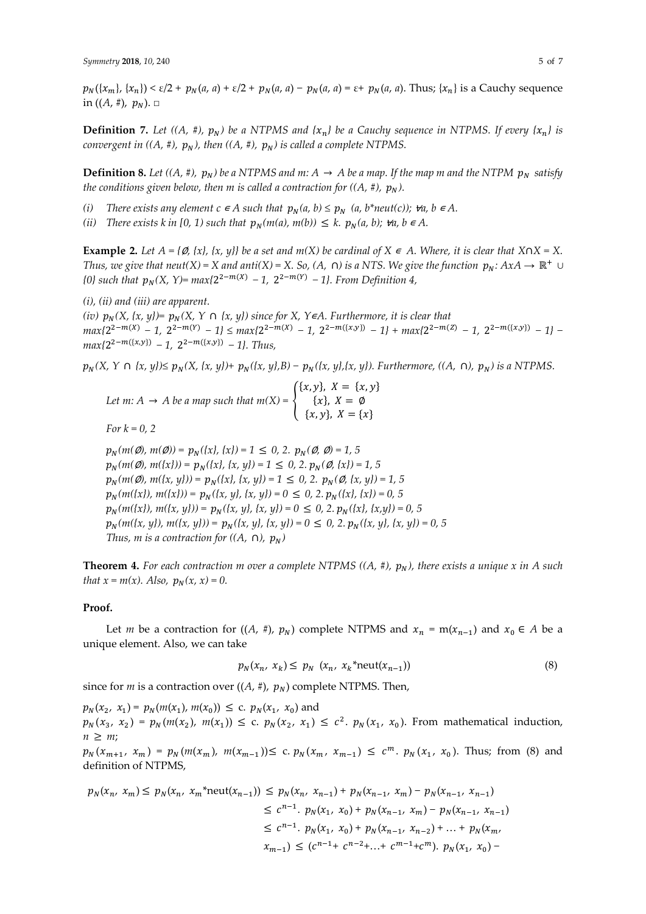$p_N({x_m}, {x_n}) < \varepsilon/2 + p_N(a, a) + \varepsilon/2 + p_N(a, a) - p_N(a, a) = \varepsilon + p_N(a, a)$ . Thus;  ${x_n}$  is a Cauchy sequence in  $((A, \#), p_N)$ .  $\Box$ 

**Definition 7.** Let  $((A, \#), p_N)$  be a NTPMS and  $\{x_n\}$  be a Cauchy sequence in NTPMS. If every  $\{x_n\}$  is *convergent in*  $((A, \#), p_N)$ , then  $((A, \#), p_N)$  is called a complete NTPMS.

**Definition 8.** Let  $((A, \#), p_N)$  be a NTPMS and m:  $A \rightarrow A$  be a map. If the map m and the NTPM  $p_N$  satisfy *the conditions given below, then m is called a contraction for*  $((A, \#), p_N)$ *.* 

- *(i) There exists any element*  $c \in A$  *such that*  $p_N(a, b) \leq p_N$  $(a, b^*neut(c))$ *;*  $\forall a, b \in A$ *.*
- *(ii) There exists k in* [0, 1) such that  $p_N(m(a), m(b)) \leq k$ .  $p_N(a, b)$ ;  $\forall a, b \in A$ .

**Example 2.** Let  $A = \{\emptyset, \{x\}, \{x, y\}\}\$ be a set and  $m(X)$  be cardinal of  $X \in A$ . Where, it is clear that  $X \cap X = X$ . *Thus, we give that neut*(*X*) = *X* and anti(*X*) = *X. So, (A, ∩) is a NTS. We give the function*  $p_N: A x A \to \mathbb{R}^+$   $\cup$ *(0)* such that  $p_N(X, Y) = max{2^{2-m(X)} - 1}$ ,  $2^{2-m(Y)} - 1$ *}. From Definition 4*,

*(i), (ii) and (iii) are apparent.*

*(iv)*  $p_N(X, \{x, y\}) = p_N(X, Y \cap \{x, y\})$  *since for* X,  $Y \in A$ . *Furthermore, it is clear that*  $max\{2^{2-m(X)} - 1, 2^{2-m(Y)} - 1\} \le max\{2^{2-m(X)} - 1, 2^{2-m(\{x,y\})} - 1\} + max\{2^{2-m(Z)} - 1, 2^{2-m(\{x,y\})} - 1\}$  $max{2^{2-m(\lbrace x,y \rbrace)}} - 1$ ,  $2^{2-m(\lbrace x,y \rbrace)} - 1$ , *Thus*,

 $p_N(X, Y \cap \{x, y\}) \leq p_N(X, \{x, y\}) + p_N(\{x, y\}, B) - p_N(\{x, y\}, \{x, y\})$ *. Furthermore, ((A, ∩),*  $p_N$ *) is a NTPMS.* 

*Let m:*  $A \rightarrow A$  *be a map such that*  $m(X) = \{$  ${x, y}, X = {x, y}$  ${x}$ ,  $X = \emptyset$  ${x, y}, X = {x}$ 

*For*  $k = 0, 2$ 

 $p_N(m(Q), m(Q)) = p_N({x}, {x}) = 1 \le 0, 2, p_N(Q, Q) = 1, 5$  $p_N(m(\emptyset), m({x})) = p_N({x}, {x}, y) = 1 \le 0, 2. p_N(\emptyset, {x}) = 1, 5$  $p_N(m(\emptyset), m({x, y})) = p_N({x}, {x, y}) = 1 \le 0, 2$ .  $p_N(\emptyset, {x, y}) = 1, 5$  $p_N(m({x}), m({x})) = p_N({x, y}, {x, y}) = 0 \le 0, 2, p_N({x}, {x}) = 0, 5$  $p_N(m({x}), m({x, y})) = p_N({x, y}, {x, y}) = 0 \le 0, 2. p_N({x}, {x, y}) = 0, 5$  $p_N(m(\{x, y\}), m(\{x, y\})) = p_N(\{x, y\}, \{x, y\}) = 0 \le 0, 2$ .  $p_N(\{x, y\}, \{x, y\}) = 0, 5$ *Thus, m is a contraction for*  $((A, \n\rho), p_N)$ 

**Theorem 4.** For each contraction m over a complete NTPMS  $((A, \#), p_N)$ , there exists a unique x in A such *that*  $x = m(x)$ *. Also,*  $p_N(x, x) = 0$ *.* 

#### **Proof.**

Let *m* be a contraction for  $((A, \#), p_N)$  complete NTPMS and  $x_n = m(x_{n-1})$  and  $x_0 \in A$  be a unique element. Also, we can take

$$
p_N(x_n, x_k) \le p_N(x_n, x_k^* \text{neut}(x_{n-1})) \tag{8}
$$

since for *m* is a contraction over  $((A, \#), p_N)$  complete NTPMS. Then,

 $p_N(x_2, x_1) = p_N(m(x_1), m(x_0)) \le c$ .  $p_N(x_1, x_0)$  and  $p_N(x_3, x_2) = p_N(m(x_2), m(x_1)) \leq c$ .  $p_N(x_2, x_1) \leq c^2$ .  $p_N(x_1, x_0)$ . From mathematical induction,  $n \geq m$ ;

 $p_N(x_{m+1}, x_m) = p_N(m(x_m), m(x_{m-1})) \le c. p_N(x_m, x_{m-1}) \le c^m. p_N(x_1, x_0)$ . Thus; from (8) and definition of NTPMS,

$$
p_N(x_n, x_m) \le p_N(x_n, x_m^* \text{neut}(x_{n-1})) \le p_N(x_n, x_{n-1}) + p_N(x_{n-1}, x_m) - p_N(x_{n-1}, x_{n-1})
$$
  
\n
$$
\le c^{n-1} \cdot p_N(x_1, x_0) + p_N(x_{n-1}, x_m) - p_N(x_{n-1}, x_{n-1})
$$
  
\n
$$
\le c^{n-1} \cdot p_N(x_1, x_0) + p_N(x_{n-1}, x_{n-2}) + \dots + p_N(x_m)
$$
  
\n
$$
x_{m-1} \le (c^{n-1} + c^{n-2} + \dots + c^{m-1} + c^m) \cdot p_N(x_1, x_0) -
$$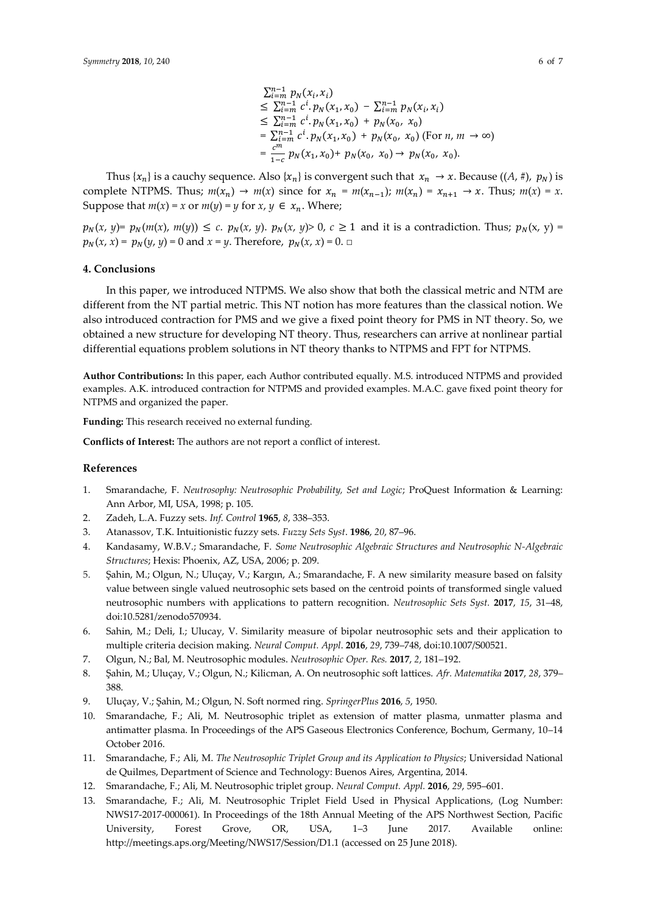$$
\sum_{i=m}^{n-1} p_N(x_i, x_i)
$$
\n
$$
\leq \sum_{i=m}^{n-1} c^i \cdot p_N(x_1, x_0) - \sum_{i=m}^{n-1} p_N(x_i, x_i)
$$
\n
$$
\leq \sum_{i=m}^{n-1} c^i \cdot p_N(x_1, x_0) + p_N(x_0, x_0)
$$
\n
$$
= \sum_{i=m}^{n-1} c^i \cdot p_N(x_1, x_0) + p_N(x_0, x_0) \text{ (For } n, m \to \infty)
$$
\n
$$
= \frac{c^m}{1-c} p_N(x_1, x_0) + p_N(x_0, x_0) \to p_N(x_0, x_0).
$$

Thus  $\{x_n\}$  is a cauchy sequence. Also  $\{x_n\}$  is convergent such that  $x_n \to x$ . Because  $((A, \#), p_N)$  is complete NTPMS. Thus;  $m(x_n) \to m(x)$  since for  $x_n = m(x_{n-1})$ ;  $m(x_n) = x_{n+1} \to x$ . Thus;  $m(x) = x$ . Suppose that  $m(x) = x$  or  $m(y) = y$  for  $x, y \in x_n$ . Where;

 $p_N(x, y) = p_N(m(x), m(y)) \le c$ .  $p_N(x, y)$ .  $p_N(x, y) > 0$ ,  $c \ge 1$  and it is a contradiction. Thus;  $p_N(x, y) =$  $p_N(x, x) = p_N(y, y) = 0$  and  $x = y$ . Therefore,  $p_N(x, x) = 0$ . □

## **4. Conclusions**

In this paper, we introduced NTPMS. We also show that both the classical metric and NTM are different from the NT partial metric. This NT notion has more features than the classical notion. We also introduced contraction for PMS and we give a fixed point theory for PMS in NT theory. So, we obtained a new structure for developing NT theory. Thus, researchers can arrive at nonlinear partial differential equations problem solutions in NT theory thanks to NTPMS and FPT for NTPMS.

**Author Contributions:** In this paper, each Author contributed equally. M.S. introduced NTPMS and provided examples. A.K. introduced contraction for NTPMS and provided examples. M.A.C. gave fixed point theory for NTPMS and organized the paper.

**Funding:** This research received no external funding.

**Conflicts of Interest:** The authors are not report a conflict of interest.

#### **References**

- 1. Smarandache, F. *Neutrosophy: Neutrosophic Probability, Set and Logic*; ProQuest Information & Learning: Ann Arbor, MI, USA, 1998; p. 105.
- 2. Zadeh, L.A. Fuzzy sets. *Inf. Control* **1965**, *8*, 338–353.
- 3. Atanassov, T.K. Intuitionistic fuzzy sets. *Fuzzy Sets Syst*. **1986**, *20*, 87–96.
- 4. Kandasamy, W.B.V.; Smarandache, F. *Some Neutrosophic Algebraic Structures and Neutrosophic N-Algebraic Structures*; Hexis: Phoenix, AZ, USA, 2006; p. 209.
- 5. Şahin, M.; Olgun, N.; Uluçay, V.; Kargın, A.; Smarandache, F. A new similarity measure based on falsity value between single valued neutrosophic sets based on the centroid points of transformed single valued neutrosophic numbers with applications to pattern recognition. *Neutrosophic Sets Syst.* **2017**, *15*, 31–48, doi:10.5281/zenodo570934.
- 6. Sahin, M.; Deli, I.; Ulucay, V. Similarity measure of bipolar neutrosophic sets and their application to multiple criteria decision making. *Neural Comput. Appl*. **2016**, *29*, 739–748, doi:10.1007/S00521.
- 7. Olgun, N.; Bal, M. Neutrosophic modules. *Neutrosophic Oper. Res.* **2017**, *2*, 181–192.
- 8. Şahin, M.; Uluçay, V.; Olgun, N.; Kilicman, A. On neutrosophic soft lattices. *Afr. Matematika* **2017**, *28*, 379– 388.
- 9. Uluçay, V.; Şahin, M.; Olgun, N. Soft normed ring. *SpringerPlus* **2016**, *5*, 1950.
- 10. Smarandache, F.; Ali, M. Neutrosophic triplet as extension of matter plasma, unmatter plasma and antimatter plasma. In Proceedings of the APS Gaseous Electronics Conference, Bochum, Germany, 10–14 October 2016.
- 11. Smarandache, F.; Ali, M. *The Neutrosophic Triplet Group and its Application to Physics*; Universidad National de Quilmes, Department of Science and Technology: Buenos Aires, Argentina, 2014.
- 12. Smarandache, F.; Ali, M. Neutrosophic triplet group. *Neural Comput. Appl.* **2016**, *29*, 595–601.
- 13. Smarandache, F.; Ali, M. Neutrosophic Triplet Field Used in Physical Applications, (Log Number: NWS17-2017-000061). In Proceedings of the 18th Annual Meeting of the APS Northwest Section, Pacific University, Forest Grove, OR, USA, 1–3 June 2017. Available online: http://meetings.aps.org/Meeting/NWS17/Session/D1.1 (accessed on 25 June 2018).